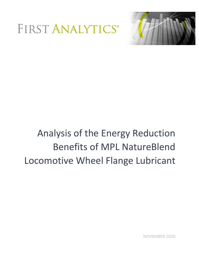



# Analysis of the Energy Reduction Benefits of MPL NatureBlend Locomotive Wheel Flange Lubricant

NOVEMBER 2020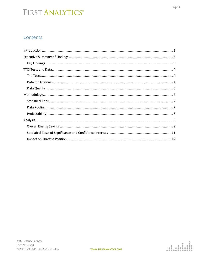#### Contents

| $\label{lem:1} \textbf{Methodology}.\textcolor{red}{\textbf{Suppose}} \textcolor{red}{\textbf{Now}} \textcolor{red}{\textbf{Now}} \textcolor{red}{\textbf{Now}} \textcolor{red}{\textbf{Now}} \textcolor{red}{\textbf{Now}} \textcolor{red}{\textbf{Now}} \textcolor{red}{\textbf{Now}} \textcolor{red}{\textbf{Now}} \textcolor{red}{\textbf{Now}} \textcolor{red}{\textbf{Now}} \textcolor{red}{\textbf{Now}} \textcolor{red}{\textbf{Now}} \textcolor{red}{\textbf{Now}} \textcolor{red}{\textbf{Now}} \textcolor{red}{\textbf{Now}} \textcolor{red}{\textbf{Now}} \$ |
|--------------------------------------------------------------------------------------------------------------------------------------------------------------------------------------------------------------------------------------------------------------------------------------------------------------------------------------------------------------------------------------------------------------------------------------------------------------------------------------------------------------------------------------------------------------------------|
|                                                                                                                                                                                                                                                                                                                                                                                                                                                                                                                                                                          |
|                                                                                                                                                                                                                                                                                                                                                                                                                                                                                                                                                                          |
|                                                                                                                                                                                                                                                                                                                                                                                                                                                                                                                                                                          |
|                                                                                                                                                                                                                                                                                                                                                                                                                                                                                                                                                                          |
|                                                                                                                                                                                                                                                                                                                                                                                                                                                                                                                                                                          |
|                                                                                                                                                                                                                                                                                                                                                                                                                                                                                                                                                                          |
|                                                                                                                                                                                                                                                                                                                                                                                                                                                                                                                                                                          |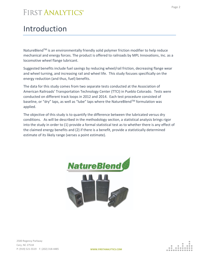### <span id="page-2-0"></span>Introduction

NatureBlend™ is an environmentally friendly solid polymer friction modifier to help reduce mechanical and energy forces. The product is offered to railroads by MPL Innovations, Inc. as a locomotive wheel flange lubricant.

Suggested benefits include fuel savings by reducing wheel/rail friction, decreasing flange wear and wheel turning, and increasing rail and wheel life. This study focuses specifically on the energy reduction (and thus, fuel) benefits.

The data for this study comes from two separate tests conducted at the Association of American Railroads' Transportation Technology Center (TTCI) in Pueblo Colorado. Tests were conducted on different track loops in 2012 and 2014. Each test procedure consisted of baseline, or "dry" laps, as well as "lube" laps where the NatureBlend™ formulation was applied.

The objective of this study is to quantify the difference between the lubricated versus dry conditions. As will be described in the methodology section, a statistical analysis brings rigor into the study in order to (1) provide a formal statistical test as to whether there is any effect of the claimed energy benefits and (2) if there is a benefit, provide a statistically determined estimate of its likely range (verses a point estimate).

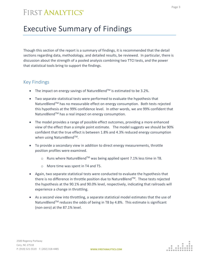### <span id="page-3-0"></span>Executive Summary of Findings

Though this section of the report is a summary of findings, it is recommended that the detail sections regarding data, methodology, and detailed results, be reviewed. In particular, there is discussion about the strength of a pooled analysis combining two TTCI tests, and the power that statistical tools bring to support the findings.

#### <span id="page-3-1"></span>Key Findings

- The impact on energy savings of NatureBlend<sup>TM</sup> is estimated to be 3.2%.
- Two separate statistical tests were performed to evaluate the hypothesis that NatureBlend™ has no measurable effect on energy consumption. Both tests rejected this hypothesis at the 99% confidence level. In other words, we are 99% confident that NatureBlend™ has a real impact on energy consumption.
- The model provides a range of possible effect outcomes, providing a more enhanced view of the effect than a simple point estimate. The model suggests we should be 90% confident that the true effect is between 1.8% and 4.3% reduced energy consumption when using NatureBlend™.
- To provide a secondary view in addition to direct energy measurements, throttle position profiles were examined.
	- $\circ$  Runs where NatureBlend<sup>TM</sup> was being applied spent 7.1% less time in T8.
	- o More time was spent in T4 and T5.
- Again, two separate statistical tests were conducted to evaluate the hypothesis that there is no difference in throttle position due to NatureBlend™. These tests rejected the hypothesis at the 90.1% and 90.0% level, respectively, indicating that railroads will experience a change in throttling.
- As a second view into throttling, a separate statistical model estimates that the use of NatureBlend™ reduces the odds of being in T8 by 4.8%. This estimate is significant (non-zero) at the 87.1% level.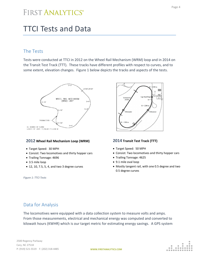## <span id="page-4-0"></span>TTCI Tests and Data

#### <span id="page-4-1"></span>The Tests

Tests were conducted at TTCI in 2012 on the Wheel Rail Mechanism (WRM) loop and in 2014 on the Transit Test Track (TTT). These tracks have different profiles with respect to curves, and to some extent, elevation changes. Figure 1 below depicts the tracks and aspects of the tests.



#### **2012 Wheel Rail Mechanism Loop (WRM)**

- Target Speed: 30 MPH
- Consist: Two locomotives and thirty hopper cars
- Trailing Tonnage: 4696
- 3.5 mile loop
- 12, 10, 7.5, 5, 4, and two 3 degree curves

*Figure 1: TTCI Tests*



#### **2014 Transit Test Track (TTT)**

- Target Speed: 50 MPH
- Consist: Two locomotives and thirty hopper cars
- Trailing Tonnage: 4625
- 9.1 mile oval loop
- Mostly tangent rail, with one 0.5 degree and two 0.5 degree curves

#### <span id="page-4-2"></span>Data for Analysis

The locomotives were equipped with a data collection system to measure volts and amps. From those measurements, electrical and mechanical energy was computed and converted to kilowatt hours (KWHR) which is our target metric for estimating energy savings. A GPS system

2500 Regency Parkway Cary, NC 27518 P: (919) 521-5519 F: (202) 318-4485

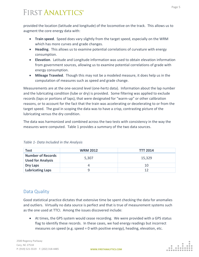provided the location (latitude and longitude) of the locomotive on the track. This allows us to augment the core energy data with:

- **Train speed**. Speed does vary slightly from the target speed, especially on the WRM which has more curves and grade changes.
- **Heading**. This allows us to examine potential correlations of curvature with energy consumption.
- **Elevation**. Latitude and Longitude information was used to obtain elevation information from government sources, allowing us to examine potential correlations of grade with energy consumption.
- **Mileage Traveled**. Though this may not be a modeled measure, it does help us in the computation of measures such as speed and grade change.

Measurements are at the one-second level (one-hertz data). Information about the lap number and the lubricating condition (lube or dry) is provided. Some filtering was applied to exclude records (laps or portions of laps), that were designated for "warm-up" or other calibration reasons, or to account for the fact that the train was accelerating or decelerating to or from the target speed. The goal in scoping the data was to have a crisp, contrasting picture of the lubricating versus the dry condition.

The data was harmonized and combined across the two tests with consistency in the way the measures were computed. Table 1 provides a summary of the two data sources.

| <b>Test</b>                                          | <b>WRM 2012</b> | <b>TTT 2014</b> |
|------------------------------------------------------|-----------------|-----------------|
| <b>Number of Records</b><br><b>Used for Analysis</b> | 5,307           | 15,329          |
| <b>Dry Laps</b>                                      |                 | 10              |
| <b>Lubricating Laps</b>                              |                 | 12              |

*Table 1- Data Included in the Analysis*

#### <span id="page-5-0"></span>Data Quality

Good statistical practice dictates that extensive time be spent checking the data for anomalies and outliers. Virtually no data source is perfect and that is true of measurement systems such as the one used at TTCI. Among the issues discovered include:

• At times, the GPS system would cease recording. We were provided with a GPS status flag to identify these records. In these cases, we had energy readings but incorrect measures on speed (e.g. speed  $= 0$  with positive energy), heading, elevation, etc.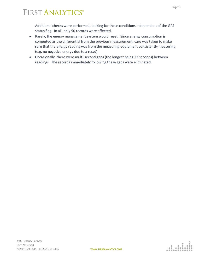Additional checks were performed, looking for these conditions independent of the GPS status flag. In all, only 50 records were affected.

- Rarely, the energy management system would reset. Since energy consumption is computed as the differential from the previous measurement, care was taken to make sure that the energy reading was from the measuring equipment consistently measuring (e.g. no negative energy due to a reset)
- Occasionally, there were multi-second gaps (the longest being 22 seconds) between readings. The records immediately following these gaps were eliminated.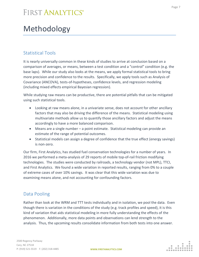# <span id="page-7-0"></span>Methodology

#### <span id="page-7-1"></span>Statistical Tools

It is nearly universally common in these kinds of studies to arrive at conclusion based on a comparison of averages, or means, between a test condition and a "control" condition (e.g. the base laps). While our study also looks at the means, we apply formal statistical tools to bring more precision and confidence to the results. Specifically, we apply tools such as Analysis of Covariance (ANCOVA), tests-of-hypotheses, confidence levels, and regression modeling (including mixed effects empirical Bayesian regression).

While studying raw means can be productive, there are potential pitfalls that can be mitigated using such statistical tools.

- Looking at raw means alone, in a univariate sense, does not account for other ancillary factors that may also be driving the difference of the means. Statistical modeling using multivariate methods allow us to quantify those ancillary factors and adjust the means accordingly to have a more balanced comparison.
- Means are a single number a point estimate. Statistical modeling can provide an estimate of the range of potential outcomes.
- Statistical models can assign a degree of confidence that the true effect (energy savings) is non-zero.

Our firm, First Analytics, has studied fuel conservation technologies for a number of years. In 2016 we performed a meta-analysis of 29 reports of mobile top-of-rail friction modifying technologies. The studies were conducted by railroads, a technology vendor (not MPL), TTCI, and First Analytics. We found a wide variation in reported results, ranging from 0% to a couple of extreme cases of over 10% savings. It was clear that this wide variation was due to examining means alone, and not accounting for confounding factors.

#### <span id="page-7-2"></span>Data Pooling

Rather than look at the WRM and TTT tests individually and in isolation, we pool the data. Even though there is variation in the conditions of the study (e.g. track profiles and speed), it is this kind of variation that aids statistical modeling in more fully understanding the effects of the phenomenon. Additionally, more data points and observations can lend strength to the analysis. Thus, the upcoming results consolidate information from both tests into one answer.

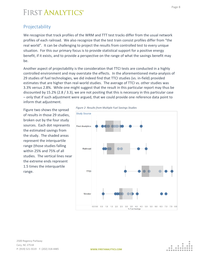#### <span id="page-8-0"></span>Projectability

We recognize that track profiles of the WRM and TTT test tracks differ from the usual network profiles of each railroad. We also recognize that the test train consist profiles differ from "the real world". It can be challenging to project the results from controlled test to every unique situation. For this our primary focus is to provide statistical support for a positive energy benefit, if it exists, and to provide a perspective on the range of what the savings benefit may be.

Another aspect of projectability is the consideration that TTCI tests are conducted in a highly controlled environment and may overstate the effects. In the aforementioned meta-analysis of 29 studies of fuel technologies, we did indeed find that TTCI studies (vs. in-field) provided estimates that are higher than real-world studies. The average of TTCI vs. other studies was 3.3% versus 2.8%. While one might suggest that the result in this particular report may thus be discounted by 15.2% (2.8 / 3.3), we are not positing that this is necessary in this particular case – only that if such adjustment were argued, that we could provide one reference data point to inform that adjustment.

Figure two shows the spread of results in those 29 studies, broken out by the four study sources. Each dot represents the estimated savings from the study. The shaded areas represent the interquartile range (those studies falling within 25% and 75% of all studies. The vertical lines near the extreme ends represent 1.5 times the interquartile range.



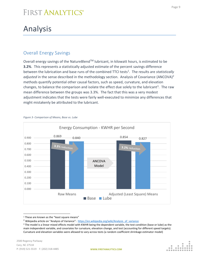# <span id="page-9-0"></span>Analysis

#### <span id="page-9-1"></span>Overall Energy Savings

Overall energy savings of the NatureBlend™ lubricant, in kilowatt hours, is estimated to be **3.2%**. This represents a statistically adjusted estimate of the percent savings difference between the lubrication and base runs of the combined TTCI tests<sup>1</sup>. The results are *statistically adjusted* in the sense described in the methodology section. Analysis of Covariance (ANCOVA)<sup>2</sup> methods quantify potential other causal factors, such as speed, curvature, and elevation changes, to balance the comparison and isolate the effect due solely to the lubricant<sup>3</sup>. The raw mean difference between the groups was 3.3%. The fact that this was a very modest adjustment indicates that the tests were fairly well-executed to minimize any differences that might mistakenly be attributed to the lubricant.



#### *Figure 3- Comparison of Means, Base vs. Lube*



<sup>&</sup>lt;sup>1</sup> These are known as the "least square means"

<sup>&</sup>lt;sup>2</sup> Wikipedia article on "Analysis of Variance": [https://en.wikipedia.org/wiki/Analysis\\_of\\_variance](https://en.wikipedia.org/wiki/Analysis_of_variance)

<sup>&</sup>lt;sup>3</sup> The model is a linear mixed effects model with KWHR being the dependent variable, the test condition (base or lube) as the main independent variable, and covariates for curvature, elevation change, and test (accounting for different speed targets). Curvature and elevation variables were allowed to vary across tests (a random coefficient shrinkage estimator model)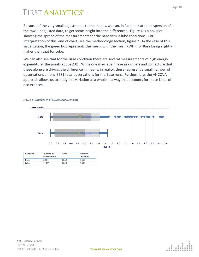Because of the very small adjustments to the means, we can, in fact, look at the dispersion of the raw, unadjusted data, to get some insight into the differences. Figure 4 is a box plot showing the spread of the measurements for the base versus lube conditions. For interpretation of this kind of chart, see the methodology section, figure 2. In the case of this visualization, the green box represents the mean, with the mean KWHR for Base being slightly higher than that for Lube.

We can also see that for the Base condition there are several measurements of high energy expenditure (the points above 2.0). While one may label these as outliers and conjecture that these alone are driving the difference in means, in reality, these represent a small number of observations among 8681 total observations for the Base runs. Furthermore, the ANCOVA approach allows us to study this variation as a whole in a way that accounts for these kinds of occurrences.





| Condition   | Number of<br><b>Observations</b> | Mean  | Standard<br>Deviation |
|-------------|----------------------------------|-------|-----------------------|
| <b>Base</b> | 8.681                            | 0.869 | 0.659                 |
| Lube        | 11955                            | 0.840 | 0.636                 |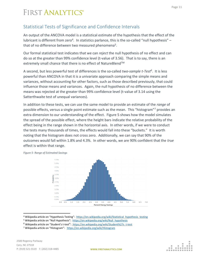#### <span id="page-11-0"></span>Statistical Tests of Significance and Confidence Intervals

An output of the ANCOVA model is a statistical estimate of the hypothesis that the effect of the lubricant is different from zero<sup>4</sup>. In statistics parlance, this is the so-called "null hypothesis" that of no difference between two measured phenomena<sup>5</sup>.

Our formal statistical test indicates that we can *reject* the null hypothesis of no effect and can do so at the greater than 99% confidence level (t-value of 3.56). That is to say, there is an extremely small chance that there is no effect of NatureBlend™

A second, but less powerful test of differences is the so-called *two-sample t-Test<sup>6</sup>* . It is less powerful than ANCOVA in that it is a univariate approach comparing the simple means and variances, without accounting for other factors, such as those described previously, that could influence those means and variances. Again, the null hypothesis of no difference between the means was rejected at the greater than 99% confidence level (t-value of 3.14 using the Satterthwaite test of unequal variances).

In addition to these tests, we can use the same model to provide an estimate of the *range* of possible effects, versus a single point estimate such as the mean. This "histogram"<sup>7</sup> provides an extra dimension to our understanding of the effect. Figure 5 shows how the model simulates the spread of the possible effect, where the height bars indicate the relative probability of the effect being in the range shown in the horizontal axis. In other words, if we were to conduct the tests many thousands of times, the effects would fall into these "buckets." It is worth noting that the histogram does not cross zero. Additionally, we can say that 90% of the outcomes would fall within 1.8% and 4.3%. In other words, we are 90% confident that the *true* effect is within that range.

> 5.5% 5.0% 4.5% 4.0%  $3.5%$  $3.0%$  $25%$  $2.0%$  $1.5%$ 1.0% 0.5% 0.0%  $0.0\quad 0.5$  $1.0$  $1.5$  $2.0$  $2.5$  $3.0$  $3.5$  $4.0$ 4.5  $5.0$  $5.5$ 6.0 6.5  $7.0$ **Percent Energy Savings**

*Figure 5- Range of Estimated Savings*

<sup>4</sup> Wikipedia article on "Hypothesis Testing": [https://en.wikipedia.org/wiki/Statistical\\_hypothesis\\_testing](https://en.wikipedia.org/wiki/Statistical_hypothesis_testing)

<sup>&</sup>lt;sup>5</sup> Wikipedia article on "Null Hypothesis": [https://en.wikipedia.org/wiki/Null\\_hypothesis](https://en.wikipedia.org/wiki/Null_hypothesis)

<sup>&</sup>lt;sup>6</sup> Wikipedia article on "Student's t-test": [https://en.wikipedia.org/wiki/Student%27s\\_t-test](https://en.wikipedia.org/wiki/Student%27s_t-test)

<sup>&</sup>lt;sup>7</sup> Wikipedia article on "Histogram": <https://en.wikipedia.org/wiki/Histogram>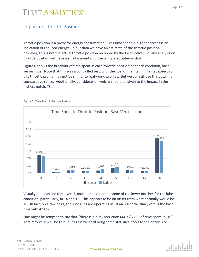#### <span id="page-12-0"></span>Impact on Throttle Position

Throttle position is a proxy for energy consumption. Less time spent in higher notches is an indication of reduced energy. In our data we have an estimate of the throttle position, however, this is not the actual throttle position recorded by the locomotive. So, any analysis on throttle position will have a small amount of uncertainty associated with it.

Figure 6 shows the breakout of time spent in each throttle position, for each condition, base versus lube. Note that this was a controlled test, with the goal of maintaining target speed, so this throttle profile may not be similar to real-world profiles. But we can still use this data in a comparative sense. Additionally, consideration weight should be given to the impact in the highest notch, T8.



*Figure 6 - Time Spent in Throttle Position*

Visually, one can see that overall, more time is spent in some of the lower notches for the lube condition, particularly, in T4 and T5. This appears to be on offset from what normally would be T8. In fact, on a raw basis, the lube runs are operating in T8 44.3% of the time, versus the base runs with 47.6%

One might be tempted to say that "there is a 7.1% reduction (44.3 / 47.6) of time spent in T8." That may very well be true, but again we shall bring some statistical tools to the analysis to